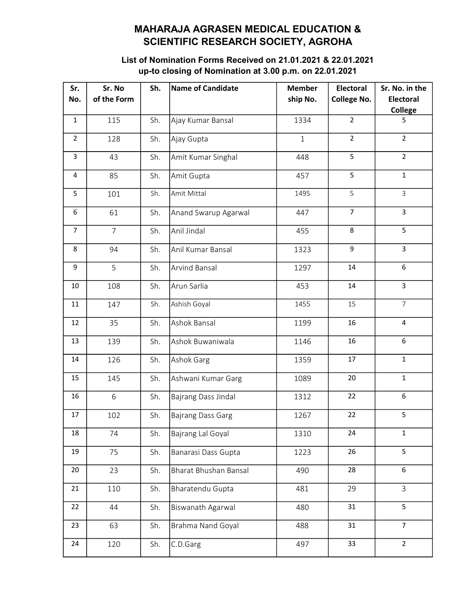## MAHARAJA AGRASEN MEDICAL EDUCATION & SCIENTIFIC RESEARCH SOCIETY, AGROHA

## List of Nomination Forms Received on 21.01.2021 & 22.01.2021 up-to closing of Nomination at 3.00 p.m. on 22.01.2021

| Sr.<br>No.     | Sr. No<br>of the Form | Sh. | <b>Name of Candidate</b> | <b>Member</b><br>ship No. | <b>Electoral</b><br><b>College No.</b> | Sr. No. in the<br><b>Electoral</b> |
|----------------|-----------------------|-----|--------------------------|---------------------------|----------------------------------------|------------------------------------|
|                |                       |     |                          |                           |                                        | <b>College</b>                     |
| $\mathbf{1}$   | 115                   | Sh. | Ajay Kumar Bansal        | 1334                      | $\overline{2}$                         | 5                                  |
| $\overline{2}$ | 128                   | Sh. | Ajay Gupta               | $\mathbf{1}$              | $\overline{2}$                         | $\overline{2}$                     |
| 3              | 43                    | Sh. | Amit Kumar Singhal       | 448                       | 5                                      | $\overline{2}$                     |
| 4              | 85                    | Sh. | Amit Gupta               | 457                       | 5                                      | $\mathbf{1}$                       |
| 5              | 101                   | Sh. | Amit Mittal              | 1495                      | 5                                      | $\overline{3}$                     |
| 6              | 61                    | Sh. | Anand Swarup Agarwal     | 447                       | $\overline{7}$                         | $\overline{3}$                     |
| $\overline{7}$ | $\overline{7}$        | Sh. | Anil Jindal              | 455                       | 8                                      | 5                                  |
| 8              | 94                    | Sh. | Anil Kumar Bansal        | 1323                      | $\mathsf g$                            | $\overline{3}$                     |
| 9              | 5                     | Sh. | <b>Arvind Bansal</b>     | 1297                      | 14                                     | 6                                  |
| 10             | 108                   | Sh. | Arun Sarlia              | 453                       | 14                                     | $\overline{3}$                     |
| 11             | 147                   | Sh. | Ashish Goyal             | 1455                      | 15                                     | $\overline{7}$                     |
| 12             | 35                    | Sh. | Ashok Bansal             | 1199                      | 16                                     | $\overline{4}$                     |
| 13             | 139                   | Sh. | Ashok Buwaniwala         | 1146                      | 16                                     | 6                                  |
| 14             | 126                   | Sh. | Ashok Garg               | 1359                      | 17                                     | $\mathbf{1}$                       |
| 15             | 145                   | Sh. | Ashwani Kumar Garg       | 1089                      | 20                                     | $\mathbf{1}$                       |
| 16             | 6                     | Sh. | Bajrang Dass Jindal      | 1312                      | 22                                     | 6                                  |
| 17             | 102                   | Sh. | <b>Bajrang Dass Garg</b> | 1267                      | 22                                     | 5                                  |
| 18             | 74                    | Sh. | Bajrang Lal Goyal        | 1310                      | 24                                     | $\mathbf{1}$                       |
| 19             | 75                    | Sh. | Banarasi Dass Gupta      | 1223                      | 26                                     | 5                                  |
| 20             | 23                    | Sh. | Bharat Bhushan Bansal    | 490                       | 28                                     | 6                                  |
| 21             | 110                   | Sh. | Bharatendu Gupta         | 481                       | 29                                     | $\overline{3}$                     |
| 22             | 44                    | Sh. | <b>Biswanath Agarwal</b> | 480                       | 31                                     | 5                                  |
| 23             | 63                    | Sh. | Brahma Nand Goyal        | 488                       | 31                                     | $\overline{7}$                     |
| 24             | 120                   | Sh. | C.D.Garg                 | 497                       | 33                                     | $\overline{2}$                     |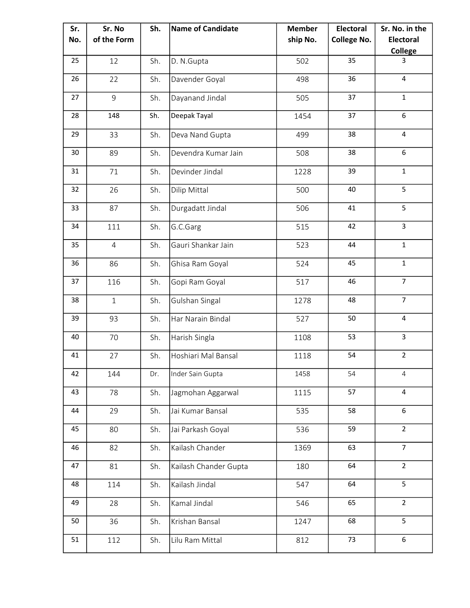| Sr. | Sr. No         | Sh. | Name of Candidate     | <b>Member</b> | Electoral          | Sr. No. in the   |
|-----|----------------|-----|-----------------------|---------------|--------------------|------------------|
| No. | of the Form    |     |                       | ship No.      | <b>College No.</b> | <b>Electoral</b> |
|     |                |     |                       |               |                    | <b>College</b>   |
| 25  | 12             | Sh. | D. N.Gupta            | 502           | 35                 | 3                |
| 26  | 22             | Sh. | Davender Goyal        | 498           | 36                 | 4                |
| 27  | $\overline{9}$ | Sh. | Dayanand Jindal       | 505           | 37                 | $\mathbf{1}$     |
| 28  | 148            | Sh. | Deepak Tayal          | 1454          | 37                 | 6                |
| 29  | 33             | Sh. | Deva Nand Gupta       | 499           | 38                 | 4                |
| 30  | 89             | Sh. | Devendra Kumar Jain   | 508           | 38                 | 6                |
| 31  | 71             | Sh. | Devinder Jindal       | 1228          | 39                 | $\mathbf{1}$     |
| 32  | 26             | Sh. | Dilip Mittal          | 500           | 40                 | 5                |
| 33  | 87             | Sh. | Durgadatt Jindal      | 506           | 41                 | 5                |
| 34  | 111            | Sh. | G.C.Garg              | 515           | 42                 | $\overline{3}$   |
| 35  | $\overline{4}$ | Sh. | Gauri Shankar Jain    | 523           | 44                 | $\mathbf{1}$     |
| 36  | 86             | Sh. | Ghisa Ram Goyal       | 524           | 45                 | $\mathbf{1}$     |
| 37  | 116            | Sh. | Gopi Ram Goyal        | 517           | 46                 | $\overline{7}$   |
| 38  | $\mathbf{1}$   | Sh. | Gulshan Singal        | 1278          | 48                 | $\overline{7}$   |
| 39  | 93             | Sh. | Har Narain Bindal     | 527           | 50                 | 4                |
| 40  | 70             | Sh. | Harish Singla         | 1108          | 53                 | $\overline{3}$   |
| 41  | 27             | Sh. | Hoshiari Mal Bansal   | 1118          | 54                 | $\overline{2}$   |
| 42  | 144            | Dr. | Inder Sain Gupta      | 1458          | 54                 | 4                |
| 43  | 78             | Sh. | Jagmohan Aggarwal     | 1115          | 57                 | $\overline{4}$   |
| 44  | 29             | Sh. | Jai Kumar Bansal      | 535           | 58                 | 6                |
| 45  | 80             | Sh. | Jai Parkash Goyal     | 536           | 59                 | $\overline{2}$   |
| 46  | 82             | Sh. | Kailash Chander       | 1369          | 63                 | $\overline{7}$   |
| 47  | 81             | Sh. | Kailash Chander Gupta | 180           | 64                 | $\overline{2}$   |
| 48  | 114            | Sh. | Kailash Jindal        | 547           | 64                 | 5                |
| 49  | 28             | Sh. | Kamal Jindal          | 546           | 65                 | $\overline{2}$   |
| 50  | 36             | Sh. | Krishan Bansal        | 1247          | 68                 | 5                |
| 51  | 112            | Sh. | Lilu Ram Mittal       | 812           | 73                 | 6                |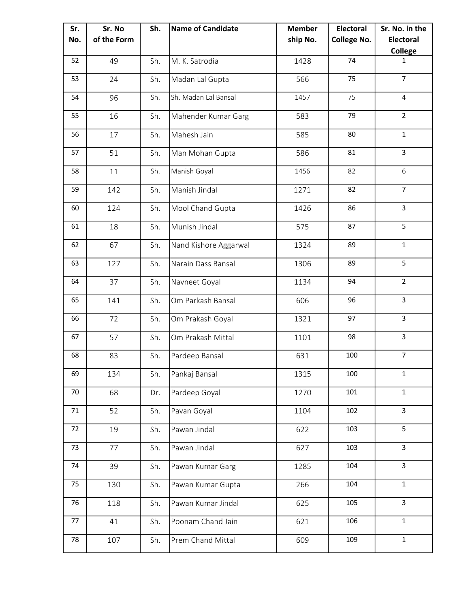| Sr. | Sr. No      | Sh. | <b>Name of Candidate</b> | <b>Member</b> | <b>Electoral</b>   | Sr. No. in the   |
|-----|-------------|-----|--------------------------|---------------|--------------------|------------------|
| No. | of the Form |     |                          | ship No.      | <b>College No.</b> | <b>Electoral</b> |
|     |             |     |                          |               |                    | <b>College</b>   |
| 52  | 49          | Sh. | M. K. Satrodia           | 1428          | 74                 | $\mathbf{1}$     |
| 53  | 24          | Sh. | Madan Lal Gupta          | 566           | 75                 | $\overline{7}$   |
| 54  | 96          | Sh. | Sh. Madan Lal Bansal     | 1457          | 75                 | 4                |
| 55  | 16          | Sh. | Mahender Kumar Garg      | 583           | 79                 | $\overline{2}$   |
| 56  | 17          | Sh. | Mahesh Jain              | 585           | 80                 | $\mathbf{1}$     |
| 57  | 51          | Sh. | Man Mohan Gupta          | 586           | 81                 | $\overline{3}$   |
| 58  | 11          | Sh. | Manish Goyal             | 1456          | 82                 | 6                |
| 59  | 142         | Sh. | Manish Jindal            | 1271          | 82                 | $\overline{7}$   |
| 60  | 124         | Sh. | Mool Chand Gupta         | 1426          | 86                 | $\overline{3}$   |
| 61  | 18          | Sh. | Munish Jindal            | 575           | 87                 | 5                |
| 62  | 67          | Sh. | Nand Kishore Aggarwal    | 1324          | 89                 | $\mathbf{1}$     |
| 63  | 127         | Sh. | Narain Dass Bansal       | 1306          | 89                 | 5                |
| 64  | 37          | Sh. | Navneet Goyal            | 1134          | 94                 | $\overline{2}$   |
| 65  | 141         | Sh. | Om Parkash Bansal        | 606           | 96                 | $\overline{3}$   |
| 66  | 72          | Sh. | Om Prakash Goyal         | 1321          | 97                 | $\overline{3}$   |
| 67  | 57          | Sh. | Om Prakash Mittal        | 1101          | 98                 | $\overline{3}$   |
| 68  | 83          | Sh. | Pardeep Bansal           | 631           | 100                | $\overline{7}$   |
| 69  | 134         | Sh. | Pankaj Bansal            | 1315          | 100                | $\mathbf{1}$     |
| 70  | 68          | Dr. | Pardeep Goyal            | 1270          | 101                | $\mathbf{1}$     |
| 71  | 52          | Sh. | Pavan Goyal              | 1104          | 102                | $\mathsf{3}$     |
| 72  | 19          | Sh. | Pawan Jindal             | 622           | 103                | 5                |
| 73  | 77          | Sh. | Pawan Jindal             | 627           | 103                | $\mathbf{3}$     |
| 74  | 39          | Sh. | Pawan Kumar Garg         | 1285          | 104                | $\mathsf{3}$     |
| 75  | 130         | Sh. | Pawan Kumar Gupta        | 266           | 104                | $\mathbf{1}$     |
| 76  | 118         | Sh. | Pawan Kumar Jindal       | 625           | 105                | $\mathsf{3}$     |
| 77  | 41          | Sh. | Poonam Chand Jain        | 621           | 106                | $\mathbf{1}$     |
| 78  | 107         | Sh. | Prem Chand Mittal        | 609           | 109                | $\mathbf{1}$     |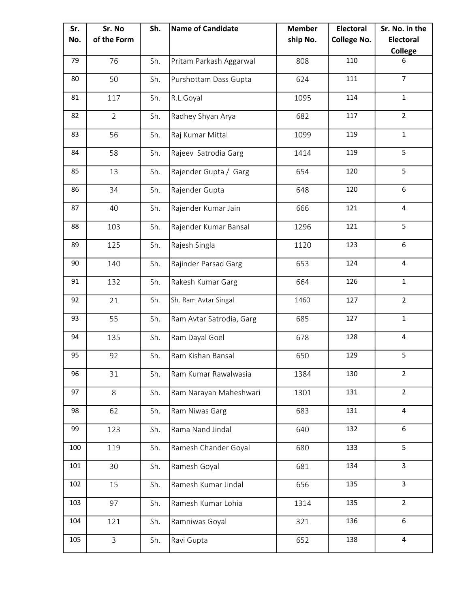| Sr. | Sr. No         | Sh. | <b>Name of Candidate</b> | <b>Member</b> | <b>Electoral</b>   | Sr. No. in the   |
|-----|----------------|-----|--------------------------|---------------|--------------------|------------------|
| No. | of the Form    |     |                          | ship No.      | <b>College No.</b> | <b>Electoral</b> |
|     |                |     |                          |               |                    | <b>College</b>   |
| 79  | 76             | Sh. | Pritam Parkash Aggarwal  | 808           | 110                | 6                |
| 80  | 50             | Sh. | Purshottam Dass Gupta    | 624           | 111                | $\overline{7}$   |
| 81  | 117            | Sh. | R.L.Goyal                | 1095          | 114                | $\mathbf{1}$     |
| 82  | $\overline{2}$ | Sh. | Radhey Shyan Arya        | 682           | 117                | $\overline{2}$   |
| 83  | 56             | Sh. | Raj Kumar Mittal         | 1099          | 119                | $\mathbf{1}$     |
| 84  | 58             | Sh. | Rajeev Satrodia Garg     | 1414          | 119                | 5                |
| 85  | 13             | Sh. | Rajender Gupta / Garg    | 654           | 120                | 5                |
| 86  | 34             | Sh. | Rajender Gupta           | 648           | 120                | 6                |
| 87  | 40             | Sh. | Rajender Kumar Jain      | 666           | 121                | $\overline{4}$   |
| 88  | 103            | Sh. | Rajender Kumar Bansal    | 1296          | 121                | 5                |
| 89  | 125            | Sh. | Rajesh Singla            | 1120          | 123                | 6                |
| 90  | 140            | Sh. | Rajinder Parsad Garg     | 653           | 124                | $\overline{4}$   |
| 91  | 132            | Sh. | Rakesh Kumar Garg        | 664           | 126                | $\mathbf{1}$     |
| 92  | 21             | Sh. | Sh. Ram Avtar Singal     | 1460          | 127                | $\overline{2}$   |
| 93  | 55             | Sh. | Ram Avtar Satrodia, Garg | 685           | 127                | $\mathbf{1}$     |
| 94  | 135            | Sh. | Ram Dayal Goel           | 678           | 128                | 4                |
| 95  | 92             | Sh. | Ram Kishan Bansal        | 650           | 129                | 5                |
| 96  | 31             | Sh. | Ram Kumar Rawalwasia     | 1384          | 130                | $\overline{2}$   |
| 97  | 8              | Sh. | Ram Narayan Maheshwari   | 1301          | 131                | $\overline{2}$   |
| 98  | 62             | Sh. | Ram Niwas Garg           | 683           | 131                | $\overline{4}$   |
| 99  | 123            | Sh. | Rama Nand Jindal         | 640           | 132                | 6                |
| 100 | 119            | Sh. | Ramesh Chander Goyal     | 680           | 133                | 5                |
| 101 | 30             | Sh. | Ramesh Goyal             | 681           | 134                | 3                |
| 102 | 15             | Sh. | Ramesh Kumar Jindal      | 656           | 135                | 3                |
| 103 | 97             | Sh. | Ramesh Kumar Lohia       | 1314          | 135                | $\overline{2}$   |
| 104 | 121            | Sh. | Ramniwas Goyal           | 321           | 136                | 6                |
| 105 | $\overline{3}$ | Sh. | Ravi Gupta               | 652           | 138                | 4                |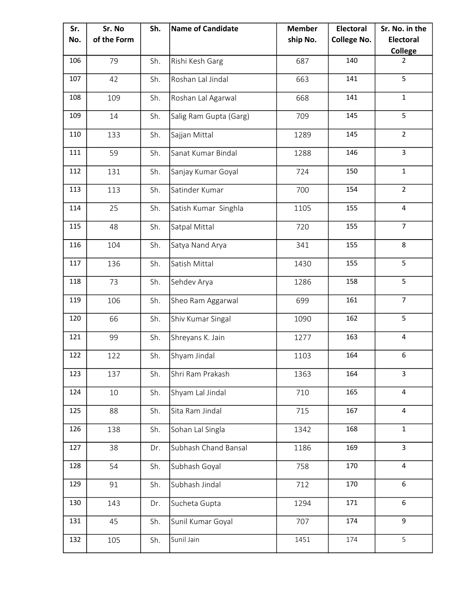| Sr. | Sr. No      | Sh. | <b>Name of Candidate</b> | <b>Member</b> | <b>Electoral</b>   | Sr. No. in the   |
|-----|-------------|-----|--------------------------|---------------|--------------------|------------------|
| No. | of the Form |     |                          | ship No.      | <b>College No.</b> | <b>Electoral</b> |
|     |             |     |                          |               |                    | <b>College</b>   |
| 106 | 79          | Sh. | Rishi Kesh Garg          | 687           | 140                | $\overline{2}$   |
| 107 | 42          | Sh. | Roshan Lal Jindal        | 663           | 141                | 5                |
| 108 | 109         | Sh. | Roshan Lal Agarwal       | 668           | 141                | $\mathbf{1}$     |
| 109 | 14          | Sh. | Salig Ram Gupta (Garg)   | 709           | 145                | 5                |
| 110 | 133         | Sh. | Sajjan Mittal            | 1289          | 145                | $\overline{2}$   |
| 111 | 59          | Sh. | Sanat Kumar Bindal       | 1288          | 146                | $\mathbf{3}$     |
| 112 | 131         | Sh. | Sanjay Kumar Goyal       | 724           | 150                | $\mathbf{1}$     |
| 113 | 113         | Sh. | Satinder Kumar           | 700           | 154                | $\overline{2}$   |
| 114 | 25          | Sh. | Satish Kumar Singhla     | 1105          | 155                | $\overline{4}$   |
| 115 | 48          | Sh. | Satpal Mittal            | 720           | 155                | $\overline{7}$   |
| 116 | 104         | Sh. | Satya Nand Arya          | 341           | 155                | 8                |
| 117 | 136         | Sh. | Satish Mittal            | 1430          | 155                | 5                |
| 118 | 73          | Sh. | Sehdev Arya              | 1286          | 158                | 5                |
| 119 | 106         | Sh. | Sheo Ram Aggarwal        | 699           | 161                | $\overline{7}$   |
| 120 | 66          | Sh. | Shiv Kumar Singal        | 1090          | 162                | 5                |
| 121 | 99          | Sh. | Shreyans K. Jain         | 1277          | 163                | 4                |
| 122 | 122         | Sh. | Shyam Jindal             | 1103          | 164                | 6                |
| 123 | 137         | Sh. | Shri Ram Prakash         | 1363          | 164                | $\overline{3}$   |
| 124 | 10          | Sh. | Shyam Lal Jindal         | 710           | 165                | $\overline{4}$   |
| 125 | 88          | Sh. | Sita Ram Jindal          | 715           | 167                | $\overline{4}$   |
| 126 | 138         | Sh. | Sohan Lal Singla         | 1342          | 168                | $\mathbf{1}$     |
| 127 | 38          | Dr. | Subhash Chand Bansal     | 1186          | 169                | $\mathsf{3}$     |
| 128 | 54          | Sh. | Subhash Goyal            | 758           | 170                | $\overline{4}$   |
| 129 | 91          | Sh. | Subhash Jindal           | 712           | 170                | 6                |
| 130 | 143         | Dr. | Sucheta Gupta            | 1294          | 171                | 6                |
| 131 | 45          | Sh. | Sunil Kumar Goyal        | 707           | 174                | 9                |
| 132 | 105         | Sh. | Sunil Jain               | 1451          | 174                | 5                |